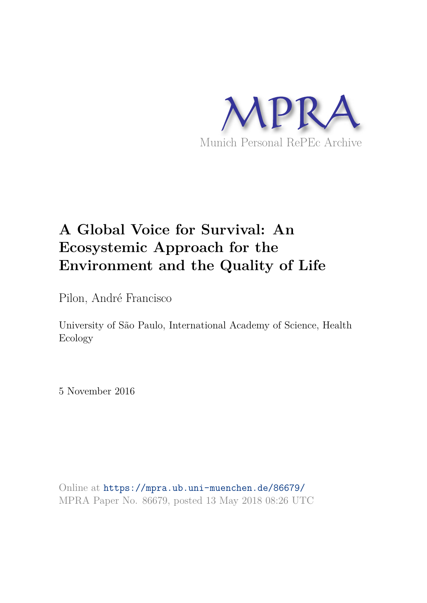

# **A Global Voice for Survival: An Ecosystemic Approach for the Environment and the Quality of Life**

Pilon, André Francisco

University of São Paulo, International Academy of Science, Health Ecology

5 November 2016

Online at https://mpra.ub.uni-muenchen.de/86679/ MPRA Paper No. 86679, posted 13 May 2018 08:26 UTC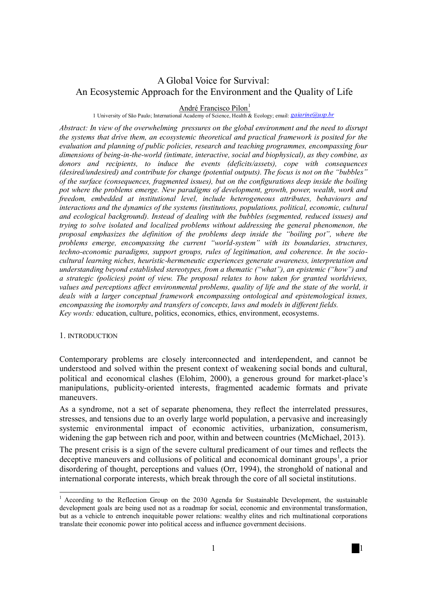## A Global Voice for Survival: An Ecosystemic Approach for the Environment and the Quality of Life

### André Francisco Pilon<sup>1</sup>

1 University of São Paulo; International Academy of Science, Health & Ecology; email: *gaiarine@usp.br*

*Abstract: In view of the overwhelming pressures on the global environment and the need to disrupt the systems that drive them, an ecosystemic theoretical and practical framework is posited for the evaluation and planning of public policies, research and teaching programmes, encompassing four dimensions of being-in-the-world (intimate, interactive, social and biophysical), as they combine, as donors and recipients, to induce the events (deficits/assets), cope with consequences (desired/undesired) and contribute for change (potential outputs). The focus is not on the "bubbles" of the surface (consequences, fragmented issues), but on the configurations deep inside the boiling pot where the problems emerge. New paradigms of development, growth, power, wealth, work and freedom, embedded at institutional level, include heterogeneous attributes, behaviours and interactions and the dynamics of the systems (institutions, populations, political, economic, cultural and ecological background). Instead of dealing with the bubbles (segmented, reduced issues) and trying to solve isolated and localized problems without addressing the general phenomenon, the proposal emphasizes the definition of the problems deep inside the "boiling pot", where the problems emerge, encompassing the current "world-system" with its boundaries, structures, techno-economic paradigms, support groups, rules of legitimation, and coherence. In the sociocultural learning niches, heuristic-hermeneutic experiences generate awareness, interpretation and understanding beyond established stereotypes, from a thematic ("what"), an epistemic ("how") and a strategic (policies) point of view. The proposal relates to how taken for granted worldviews, values and perceptions affect environmental problems, quality of life and the state of the world, it deals with a larger conceptual framework encompassing ontological and epistemological issues, encompassing the isomorphy and transfers of concepts, laws and models in different fields. Key words:* education, culture, politics, economics, ethics, environment, ecosystems.

#### 1. INTRODUCTION

 $\frac{1}{\sqrt{2}}$ 

Contemporary problems are closely interconnected and interdependent, and cannot be understood and solved within the present context of weakening social bonds and cultural, political and economical clashes (Elohim, 2000), a generous ground for market-place's manipulations, publicity-oriented interests, fragmented academic formats and private maneuvers.

As a syndrome, not a set of separate phenomena, they reflect the interrelated pressures, stresses, and tensions due to an overly large world population, a pervasive and increasingly systemic environmental impact of economic activities, urbanization, consumerism, widening the gap between rich and poor, within and between countries (McMichael, 2013).

The present crisis is a sign of the severe cultural predicament of our times and reflects the deceptive maneuvers and collusions of political and economical dominant groups<sup>1</sup>, a prior disordering of thought, perceptions and values (Orr, 1994), the stronghold of national and international corporate interests, which break through the core of all societal institutions.

<sup>&</sup>lt;sup>1</sup> According to the Reflection Group on the 2030 Agenda for Sustainable Development, the sustainable development goals are being used not as a roadmap for social, economic and environmental transformation, but as a vehicle to entrench inequitable power relations: wealthy elites and rich multinational corporations translate their economic power into political access and influence government decisions.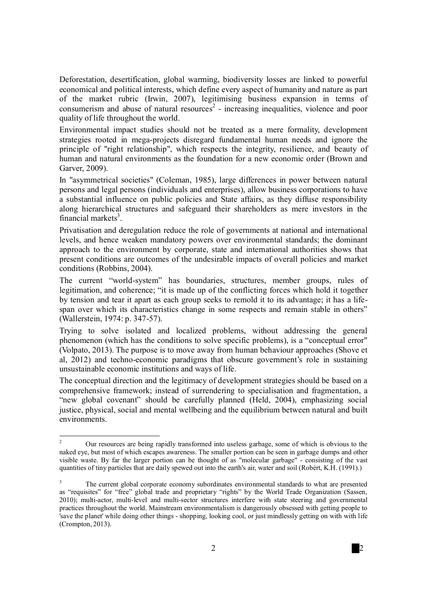Deforestation, desertification, global warming, biodiversity losses are linked to powerful economical and political interests, which define every aspect of humanity and nature as part of the market rubric (Irwin, 2007), legitimising business expansion in terms of consumerism and abuse of natural resources<sup>2</sup> - increasing inequalities, violence and poor quality of life throughout the world.

Environmental impact studies should not be treated as a mere formality, development strategies rooted in mega-projects disregard fundamental human needs and ignore the principle of "right relationship", which respects the integrity, resilience, and beauty of human and natural environments as the foundation for a new economic order (Brown and Garver, 2009).

In "asymmetrical societies" (Coleman, 1985), large differences in power between natural persons and legal persons (individuals and enterprises), allow business corporations to have a substantial influence on public policies and State affairs, as they diffuse responsibility along hierarchical structures and safeguard their shareholders as mere investors in the financial markets $3$ .

Privatisation and deregulation reduce the role of governments at national and international levels, and hence weaken mandatory powers over environmental standards; the dominant approach to the environment by corporate, state and international authorities shows that present conditions are outcomes of the undesirable impacts of overall policies and market conditions (Robbins, 2004).

The current "world-system" has boundaries, structures, member groups, rules of legitimation, and coherence; "it is made up of the conflicting forces which hold it together by tension and tear it apart as each group seeks to remold it to its advantage; it has a lifespan over which its characteristics change in some respects and remain stable in others" (Wallerstein, 1974: p. 347-57).

Trying to solve isolated and localized problems, without addressing the general phenomenon (which has the conditions to solve specific problems), is a "conceptual error" (Volpato, 2013). The purpose is to move away from human behaviour approaches (Shove et al, 2012) and techno-economic paradigms that obscure government's role in sustaining unsustainable economic institutions and ways of life.

The conceptual direction and the legitimacy of development strategies should be based on a comprehensive framework; instead of surrendering to specialisation and fragmentation, a "new global covenant" should be carefully planned (Held, 2004), emphasizing social justice, physical, social and mental wellbeing and the equilibrium between natural and built environments.

 $\overline{2}$ <sup>2</sup>Our resources are being rapidly transformed into useless garbage, some of which is obvious to the naked eye, but most of which escapes awareness. The smaller portion can be seen in garbage dumps and other visible waste. By far the larger portion can be thought of as "molecular garbage" - consisting of the vast quantities of tiny particles that are daily spewed out into the earth's air, water and soil (Robèrt, K.H. (1991).)

<sup>&</sup>lt;sup>3</sup> The current global corporate economy subordinates environmental standards to what are presented as "requisites" for "free" global trade and proprietary "rights" by the World Trade Organization (Sassen, 2010); multi-actor, multi-level and multi-sector structures interfere with state steering and governmental practices throughout the world. Mainstream environmentalism is dangerously obsessed with getting people to 'save the planet' while doing other things - shopping, looking cool, or just mindlessly getting on with with life (Crompton, 2013).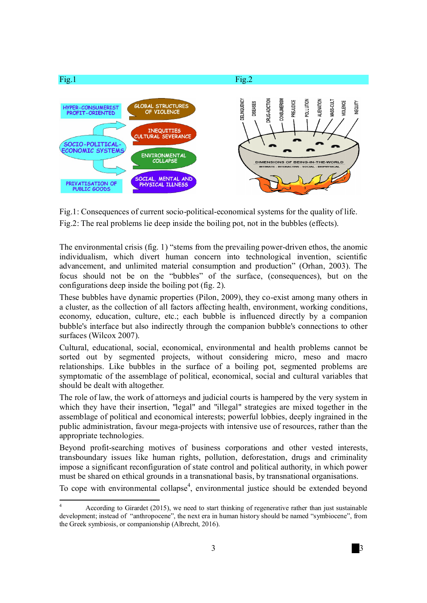

Fig.1: Consequences of current socio-political-economical systems for the quality of life. Fig.2: The real problems lie deep inside the boiling pot, not in the bubbles (effects).

The environmental crisis (fig. 1) "stems from the prevailing power-driven ethos, the anomic individualism, which divert human concern into technological invention, scientific advancement, and unlimited material consumption and production" (Orhan, 2003). The focus should not be on the "bubbles" of the surface, (consequences), but on the configurations deep inside the boiling pot (fig. 2).

These bubbles have dynamic properties (Pilon, 2009), they co-exist among many others in a cluster, as the collection of all factors affecting health, environment, working conditions, economy, education, culture, etc.; each bubble is influenced directly by a companion bubble's interface but also indirectly through the companion bubble's connections to other surfaces (Wilcox 2007).

Cultural, educational, social, economical, environmental and health problems cannot be sorted out by segmented projects, without considering micro, meso and macro relationships. Like bubbles in the surface of a boiling pot, segmented problems are symptomatic of the assemblage of political, economical, social and cultural variables that should be dealt with altogether.

The role of law, the work of attorneys and judicial courts is hampered by the very system in which they have their insertion, "legal" and "illegal" strategies are mixed together in the assemblage of political and economical interests; powerful lobbies, deeply ingrained in the public administration, favour mega-projects with intensive use of resources, rather than the appropriate technologies.

Beyond profit-searching motives of business corporations and other vested interests, transboundary issues like human rights, pollution, deforestation, drugs and criminality impose a significant reconfiguration of state control and political authority, in which power must be shared on ethical grounds in a transnational basis, by transnational organisations.

To cope with environmental collapse<sup>4</sup>, environmental justice should be extended beyond

 $\overline{4}$ <sup>4</sup>According to Girardet (2015), we need to start thinking of regenerative rather than just sustainable development; instead of "anthropocene", the next era in human history should be named "symbiocene", from the Greek symbiosis, or companionship (Albrecht, 2016).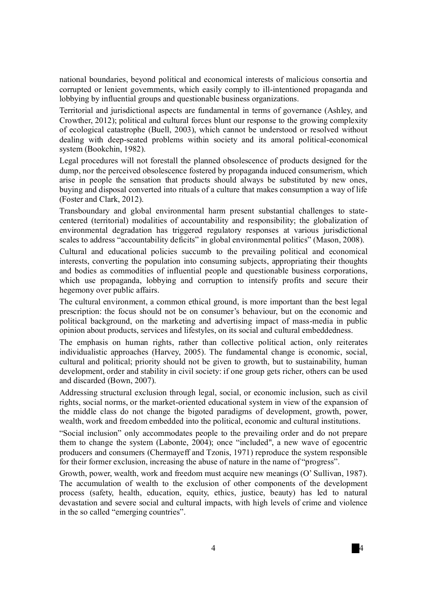national boundaries, beyond political and economical interests of malicious consortia and corrupted or lenient governments, which easily comply to ill-intentioned propaganda and lobbying by influential groups and questionable business organizations.

Territorial and jurisdictional aspects are fundamental in terms of governance (Ashley, and Crowther, 2012); political and cultural forces blunt our response to the growing complexity of ecological catastrophe (Buell, 2003), which cannot be understood or resolved without dealing with deep-seated problems within society and its amoral political-economical system (Bookchin, 1982).

Legal procedures will not forestall the planned obsolescence of products designed for the dump, nor the perceived obsolescence fostered by propaganda induced consumerism, which arise in people the sensation that products should always be substituted by new ones, buying and disposal converted into rituals of a culture that makes consumption a way of life (Foster and Clark, 2012).

Transboundary and global environmental harm present substantial challenges to statecentered (territorial) modalities of accountability and responsibility; the globalization of environmental degradation has triggered regulatory responses at various jurisdictional scales to address "accountability deficits" in global environmental politics" (Mason, 2008).

Cultural and educational policies succumb to the prevailing political and economical interests, converting the population into consuming subjects, appropriating their thoughts and bodies as commodities of influential people and questionable business corporations, which use propaganda, lobbying and corruption to intensify profits and secure their hegemony over public affairs.

The cultural environment, a common ethical ground, is more important than the best legal prescription: the focus should not be on consumer's behaviour, but on the economic and political background, on the marketing and advertising impact of mass-media in public opinion about products, services and lifestyles, on its social and cultural embeddedness.

The emphasis on human rights, rather than collective political action, only reiterates individualistic approaches (Harvey, 2005). The fundamental change is economic, social, cultural and political; priority should not be given to growth, but to sustainability, human development, order and stability in civil society: if one group gets richer, others can be used and discarded (Bown, 2007).

Addressing structural exclusion through legal, social, or economic inclusion, such as civil rights, social norms, or the market-oriented educational system in view of the expansion of the middle class do not change the bigoted paradigms of development, growth, power, wealth, work and freedom embedded into the political, economic and cultural institutions.

"Social inclusion" only accommodates people to the prevailing order and do not prepare them to change the system (Labonte, 2004); once "included", a new wave of egocentric producers and consumers (Chermayeff and Tzonis, 1971) reproduce the system responsible for their former exclusion, increasing the abuse of nature in the name of "progress".

Growth, power, wealth, work and freedom must acquire new meanings (O' Sullivan, 1987). The accumulation of wealth to the exclusion of other components of the development process (safety, health, education, equity, ethics, justice, beauty) has led to natural devastation and severe social and cultural impacts, with high levels of crime and violence in the so called "emerging countries".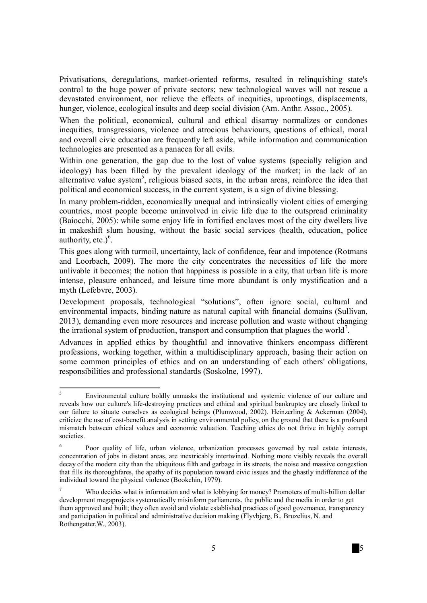Privatisations, deregulations, market-oriented reforms, resulted in relinquishing state's control to the huge power of private sectors; new technological waves will not rescue a devastated environment, nor relieve the effects of inequities, uprootings, displacements, hunger, violence, ecological insults and deep social division (Am. Anthr. Assoc., 2005).

When the political, economical, cultural and ethical disarray normalizes or condones inequities, transgressions, violence and atrocious behaviours, questions of ethical, moral and overall civic education are frequently left aside, while information and communication technologies are presented as a panacea for all evils.

Within one generation, the gap due to the lost of value systems (specially religion and ideology) has been filled by the prevalent ideology of the market; in the lack of an alternative value system<sup>5</sup>, religious biased sects, in the urban areas, reinforce the idea that political and economical success, in the current system, is a sign of divine blessing.

In many problem-ridden, economically unequal and intrinsically violent cities of emerging countries, most people become uninvolved in civic life due to the outspread criminality (Baiocchi, 2005): while some enjoy life in fortified enclaves most of the city dwellers live in makeshift slum housing, without the basic social services (health, education, police authority, etc.) $6$ .

This goes along with turmoil, uncertainty, lack of confidence, fear and impotence (Rotmans and Loorbach, 2009). The more the city concentrates the necessities of life the more unlivable it becomes; the notion that happiness is possible in a city, that urban life is more intense, pleasure enhanced, and leisure time more abundant is only mystification and a myth (Lefebvre, 2003).

Development proposals, technological "solutions", often ignore social, cultural and environmental impacts, binding nature as natural capital with financial domains (Sullivan, 2013), demanding even more resources and increase pollution and waste without changing the irrational system of production, transport and consumption that plagues the world<sup>7</sup>.

Advances in applied ethics by thoughtful and innovative thinkers encompass different professions, working together, within a multidisciplinary approach, basing their action on some common principles of ethics and on an understanding of each others' obligations, responsibilities and professional standards (Soskolne, 1997).

<sup>5</sup> <sup>5</sup>Environmental culture boldly unmasks the institutional and systemic violence of our culture and reveals how our culture's life-destroying practices and ethical and spiritual bankruptcy are closely linked to our failure to situate ourselves as ecological beings (Plumwood, 2002). Heinzerling & Ackerman (2004), criticize the use of cost-benefit analysis in setting environmental policy, on the ground that there is a profound mismatch between ethical values and economic valuation. Teaching ethics do not thrive in highly corrupt societies.

<sup>6</sup>Poor quality of life, urban violence, urbanization processes governed by real estate interests, concentration of jobs in distant areas, are inextricably intertwined. Nothing more visibly reveals the overall decay of the modern city than the ubiquitous filth and garbage in its streets, the noise and massive congestion that fills its thoroughfares, the apathy of its population toward civic issues and the ghastly indifference of the individual toward the physical violence (Bookchin, 1979).

Who decides what is information and what is lobbying for money? Promoters of multi-billion dollar development megaprojects systematically misinform parliaments, the public and the media in order to get them approved and built; they often avoid and violate established practices of good governance, transparency and participation in political and administrative decision making (Flyvbjerg, B., Bruzelius, N. and Rothengatter,W., 2003).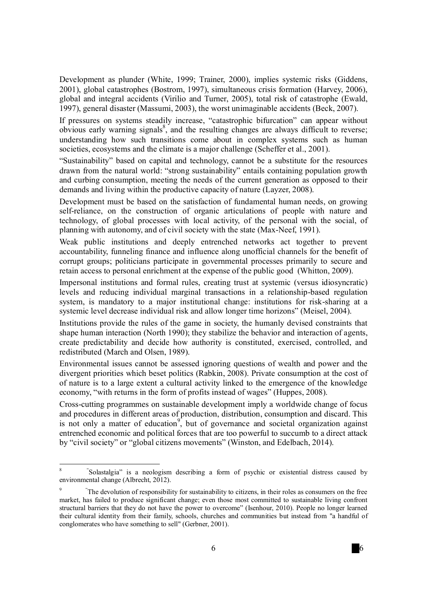Development as plunder (White, 1999; Trainer, 2000), implies systemic risks (Giddens, 2001), global catastrophes (Bostrom, 1997), simultaneous crisis formation (Harvey, 2006), global and integral accidents (Virilio and Turner, 2005), total risk of catastrophe (Ewald, 1997), general disaster (Massumi, 2003), the worst unimaginable accidents (Beck, 2007).

If pressures on systems steadily increase, "catastrophic bifurcation" can appear without obvious early warning signals<sup>8</sup>, and the resulting changes are always difficult to reverse; understanding how such transitions come about in complex systems such as human societies, ecosystems and the climate is a major challenge (Scheffer et al., 2001).

"Sustainability" based on capital and technology, cannot be a substitute for the resources drawn from the natural world: "strong sustainability" entails containing population growth and curbing consumption, meeting the needs of the current generation as opposed to their demands and living within the productive capacity of nature (Layzer, 2008).

Development must be based on the satisfaction of fundamental human needs, on growing self-reliance, on the construction of organic articulations of people with nature and technology, of global processes with local activity, of the personal with the social, of planning with autonomy, and of civil society with the state (Max-Neef, 1991).

Weak public institutions and deeply entrenched networks act together to prevent accountability, funneling finance and influence along unofficial channels for the benefit of corrupt groups; politicians participate in governmental processes primarily to secure and retain access to personal enrichment at the expense of the public good (Whitton, 2009).

Impersonal institutions and formal rules, creating trust at systemic (versus idiosyncratic) levels and reducing individual marginal transactions in a relationship-based regulation system, is mandatory to a major institutional change: institutions for risk-sharing at a systemic level decrease individual risk and allow longer time horizons" (Meisel, 2004).

Institutions provide the rules of the game in society, the humanly devised constraints that shape human interaction (North 1990); they stabilize the behavior and interaction of agents, create predictability and decide how authority is constituted, exercised, controlled, and redistributed (March and Olsen, 1989).

Environmental issues cannot be assessed ignoring questions of wealth and power and the divergent priorities which beset politics (Rabkin, 2008). Private consumption at the cost of of nature is to a large extent a cultural activity linked to the emergence of the knowledge economy, "with returns in the form of profits instead of wages" (Huppes, 2008).

Cross-cutting programmes on sustainable development imply a worldwide change of focus and procedures in different areas of production, distribution, consumption and discard. This is not only a matter of education<sup>9</sup>, but of governance and societal organization against entrenched economic and political forces that are too powerful to succumb to a direct attack by "civil society" or "global citizens movements" (Winston, and Edelbach, 2014).

 $\mathbf{\hat{x}}$ Solastalgia" is a neologism describing a form of psychic or existential distress caused by environmental change (Albrecht, 2012).

<sup>&</sup>quot;The devolution of responsibility for sustainability to citizens, in their roles as consumers on the free market, has failed to produce significant change; even those most committed to sustainable living confront structural barriers that they do not have the power to overcome" (Isenhour, 2010). People no longer learned their cultural identity from their family, schools, churches and communities but instead from "a handful of conglomerates who have something to sell" (Gerbner, 2001).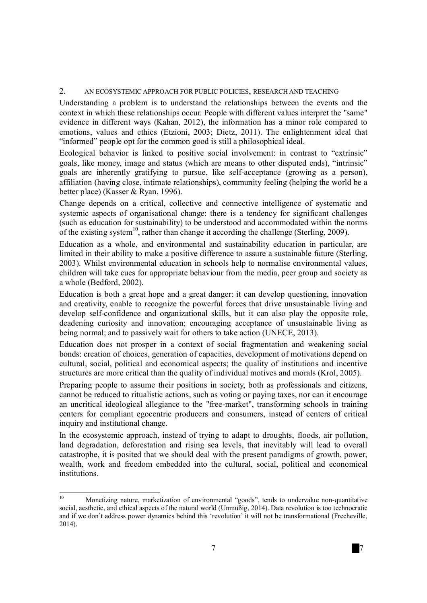#### 2. AN ECOSYSTEMIC APPROACH FOR PUBLIC POLICIES, RESEARCH AND TEACHING

Understanding a problem is to understand the relationships between the events and the context in which these relationships occur. People with different values interpret the "same" evidence in different ways (Kahan, 2012), the information has a minor role compared to emotions, values and ethics (Etzioni, 2003; Dietz, 2011). The enlightenment ideal that "informed" people opt for the common good is still a philosophical ideal.

Ecological behavior is linked to positive social involvement: in contrast to "extrinsic" goals, like money, image and status (which are means to other disputed ends), "intrinsic" goals are inherently gratifying to pursue, like self-acceptance (growing as a person), affiliation (having close, intimate relationships), community feeling (helping the world be a better place) (Kasser & Ryan, 1996).

Change depends on a critical, collective and connective intelligence of systematic and systemic aspects of organisational change: there is a tendency for significant challenges (such as education for sustainability) to be understood and accommodated within the norms of the existing system<sup>10</sup>, rather than change it according the challenge (Sterling, 2009).

Education as a whole, and environmental and sustainability education in particular, are limited in their ability to make a positive difference to assure a sustainable future (Sterling, 2003). Whilst environmental education in schools help to normalise environmental values, children will take cues for appropriate behaviour from the media, peer group and society as a whole (Bedford, 2002).

Education is both a great hope and a great danger: it can develop questioning, innovation and creativity, enable to recognize the powerful forces that drive unsustainable living and develop self-confidence and organizational skills, but it can also play the opposite role, deadening curiosity and innovation; encouraging acceptance of unsustainable living as being normal; and to passively wait for others to take action (UNECE, 2013).

Education does not prosper in a context of social fragmentation and weakening social bonds: creation of choices, generation of capacities, development of motivations depend on cultural, social, political and economical aspects; the quality of institutions and incentive structures are more critical than the quality of individual motives and morals (Krol, 2005).

Preparing people to assume their positions in society, both as professionals and citizens, cannot be reduced to ritualistic actions, such as voting or paying taxes, nor can it encourage an uncritical ideological allegiance to the "free-market", transforming schools in training centers for compliant egocentric producers and consumers, instead of centers of critical inquiry and institutional change.

In the ecosystemic approach, instead of trying to adapt to droughts, floods, air pollution, land degradation, deforestation and rising sea levels, that inevitably will lead to overall catastrophe, it is posited that we should deal with the present paradigms of growth, power, wealth, work and freedom embedded into the cultural, social, political and economical institutions.

 $10$ <sup>10</sup>Monetizing nature, marketization of environmental "goods", tends to undervalue non-quantitative social, aesthetic, and ethical aspects of the natural world (Unmüßig, 2014). Data revolution is too technocratic and if we don't address power dynamics behind this 'revolution' it will not be transformational (Frecheville, 2014).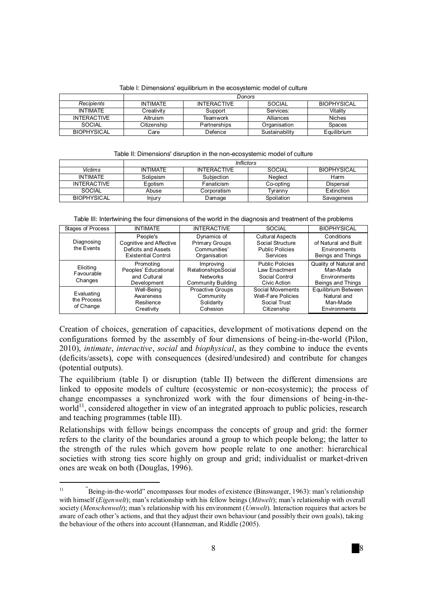|                    | Donors          |                    |                |                    |
|--------------------|-----------------|--------------------|----------------|--------------------|
| Recipients         | <b>INTIMATE</b> | <b>INTERACTIVE</b> | SOCIAL         | <b>BIOPHYSICAL</b> |
| INTIMATF           | Creativitv      | Support            | Services:      | Vitality           |
| <b>INTERACTIVE</b> | Altruism        | Teamwork           | Alliances      | <b>Niches</b>      |
| SOCIAL             | Citizenship     | Partnerships       | Organisation   | Spaces             |
| <b>BIOPHYSICAL</b> | Care            | Defence            | Sustainability | Equilibrium        |

Table I: Dimensions' equilibrium in the ecosystemic model of culture

#### Table II: Dimensions' disruption in the non-ecosystemic model of culture

|                    | Inflictors      |                    |            |                    |
|--------------------|-----------------|--------------------|------------|--------------------|
| Victims            | <b>INTIMATE</b> | <b>INTERACTIVE</b> | SOCIAL     | <b>BIOPHYSICAL</b> |
| <b>INTIMATE</b>    | Solipsism       | Subiection         | Neglect    | Harm               |
| <b>INTERACTIVE</b> | Egotism         | Fanaticism         | Co-opting  | Dispersal          |
| SOCIAL             | Abuse           | Corporatism        | Tvrannv    | Extinction         |
| <b>BIOPHYSICAL</b> | Iniurv          | Damage             | Spoliation | Savageness         |

Table III: Intertwining the four dimensions of the world in the diagnosis and treatment of the problems

| Stages of Process                      | <b>INTIMATE</b>                                                                          | <b>INTERACTIVE</b>                                                        | <b>SOCIAL</b>                                                                     | <b>BIOPHYSICAL</b>                                                      |
|----------------------------------------|------------------------------------------------------------------------------------------|---------------------------------------------------------------------------|-----------------------------------------------------------------------------------|-------------------------------------------------------------------------|
| Diagnosing<br>the Events               | People's<br>Cognitive and Affective<br>Deficits and Assets<br><b>Existential Control</b> | Dynamics of<br><b>Primary Groups</b><br>Communities'<br>Organisation      | <b>Cultural Aspects</b><br>Social Structure<br><b>Public Policies</b><br>Services | Conditions<br>of Natural and Built<br>Environments<br>Beings and Things |
| Eliciting<br>Favourable<br>Changes     | Promoting<br>Peoples' Educational<br>and Cultural<br>Development                         | Improving<br>RelationshipsSocial<br><b>Networks</b><br>Community Building | <b>Public Policies</b><br>Law Enactment<br>Social Control<br>Civic Action         | Quality of Natural and<br>Man-Made<br>Environments<br>Beings and Things |
| Evaluating<br>the Process<br>of Change | Well-Being<br>Awareness<br>Resilience<br>Creativity                                      | Proactive Groups<br>Community<br>Solidarity<br>Cohesion                   | Social Movements<br><b>Well-Fare Policies</b><br>Social Trust<br>Citizenship      | Equilibrium Between<br>Natural and<br>Man-Made<br>Environments          |

Creation of choices, generation of capacities, development of motivations depend on the configurations formed by the assembly of four dimensions of being-in-the-world (Pilon, 2010), *intimate*, *interactive*, *social* and *biophysical*, as they combine to induce the events (deficits/assets), cope with consequences (desired/undesired) and contribute for changes (potential outputs).

The equilibrium (table I) or disruption (table II) between the different dimensions are linked to opposite models of culture (ecosystemic or non-ecosystemic); the process of change encompasses a synchronized work with the four dimensions of being-in-theworld $11$ , considered altogether in view of an integrated approach to public policies, research and teaching programmes (table III).

Relationships with fellow beings encompass the concepts of group and grid: the former refers to the clarity of the boundaries around a group to which people belong; the latter to the strength of the rules which govern how people relate to one another: hierarchical societies with strong ties score highly on group and grid; individualist or market-driven ones are weak on both (Douglas, 1996).

 $\overline{11}$ <sup>11</sup> "Being-in-the-world" encompasses four modes of existence (Binswanger, 1963): man's relationship with himself (*Eigenwelt*); man's relationship with his fellow beings (*Mitwelt*); man's relationship with overall society (*Menschenwelt*); man's relationship with his environment (*Umwelt*). Interaction requires that actors be aware of each other's actions, and that they adjust their own behaviour (and possibly their own goals), taking the behaviour of the others into account (Hanneman, and Riddle (2005).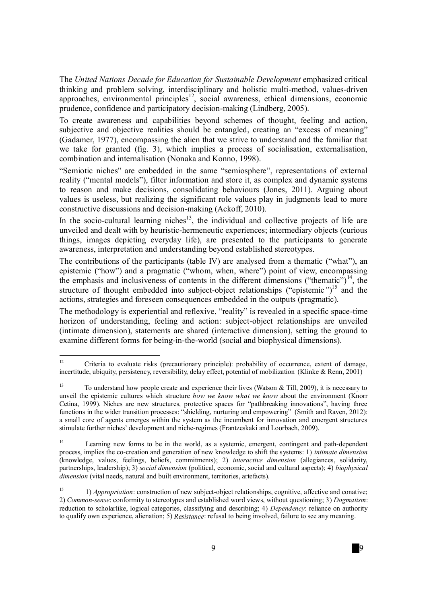The *United Nations Decade for Education for Sustainable Development* emphasized critical thinking and problem solving, interdisciplinary and holistic multi-method, values-driven approaches, environmental principles<sup>12</sup>, social awareness, ethical dimensions, economic prudence, confidence and participatory decision-making (Lindberg, 2005).

To create awareness and capabilities beyond schemes of thought, feeling and action, subjective and objective realities should be entangled, creating an "excess of meaning" (Gadamer, 1977), encompassing the alien that we strive to understand and the familiar that we take for granted (fig. 3), which implies a process of socialisation, externalisation, combination and internalisation (Nonaka and Konno, 1998).

"Semiotic niches" are embedded in the same "semiosphere", representations of external reality ("mental models"), filter information and store it, as complex and dynamic systems to reason and make decisions, consolidating behaviours (Jones, 2011). Arguing about values is useless, but realizing the significant role values play in judgments lead to more constructive discussions and decision-making (Ackoff, 2010).

In the socio-cultural learning niches $13$ , the individual and collective projects of life are unveiled and dealt with by heuristic-hermeneutic experiences; intermediary objects (curious things, images depicting everyday life), are presented to the participants to generate awareness, interpretation and understanding beyond established stereotypes.

The contributions of the participants (table IV) are analysed from a thematic ("what"), an epistemic ("how") and a pragmatic ("whom, when, where") point of view, encompassing the emphasis and inclusiveness of contents in the different dimensions ("thematic")<sup>14</sup>, the structure of thought embedded into subject-object relationships ("epistemic*"*) <sup>15</sup> and the actions, strategies and foreseen consequences embedded in the outputs (pragmatic).

The methodology is experiential and reflexive, "reality" is revealed in a specific space-time horizon of understanding, feeling and action: subject-object relationships are unveiled (intimate dimension), statements are shared (interactive dimension), setting the ground to examine different forms for being-in-the-world (social and biophysical dimensions).

 $12$ <sup>12</sup> Criteria to evaluate risks (precautionary principle): probability of occurrence, extent of damage, incertitude, ubiquity, persistency, reversibility, delay effect, potential of mobilization. (Klinke & Renn, 2001)

<sup>&</sup>lt;sup>13</sup> To understand how people create and experience their lives (Watson & Till, 2009), it is necessary to unveil the epistemic cultures which structure *how we know what we know* about the environment (Knorr Cetina, 1999). Niches are new structures, protective spaces for "pathbreaking innovations", having three functions in the wider transition processes: "shielding, nurturing and empowering" (Smith and Raven, 2012): a small core of agents emerges within the system as the incumbent for innovation and emergent structures stimulate further niches' development and niche-regimes (Frantzeskaki and Loorbach, 2009).

 $14$  Learning new forms to be in the world, as a systemic, emergent, contingent and path-dependent process, implies the co-creation and generation of new knowledge to shift the systems: 1) *intimate dimension* (knowledge, values, feelings, beliefs, commitments); 2) *interactive dimension* (allegiances, solidarity, partnerships, leadership); 3) *social dimension* (political, economic, social and cultural aspects); 4) *biophysical dimension* (vital needs, natural and built environment, territories, artefacts).

<sup>&</sup>lt;sup>15</sup><sup>15</sup> *Appropriation*: construction of new subject-object relationships, cognitive, affective and conative; 2) *Common-sense*: conformity to stereotypes and established word views, without questioning; 3) *Dogmatism*: reduction to scholarlike, logical categories, classifying and describing; 4) *Dependency*: reliance on authority to qualify own experience, alienation; 5) *Resistance*: refusal to being involved, failure to see any meaning.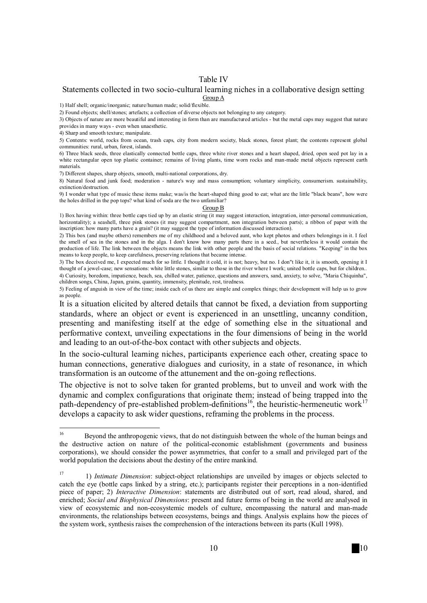#### Table IV

#### Statements collected in two socio-cultural learning niches in a collaborative design setting Group A

1) Half shell; organic/inorganic; nature/human made; solid/flexible.

2) Found objects; shell/stones; artefacts; a collection of diverse objects not belonging to any category.

3) Objects of nature are more beautiful and interesting in form than are manufactured articles - but the metal caps may suggest that nature provides in many ways - even when unaesthetic.

4) Sharp and smooth texture; manipulate.

5) Contents: world, rocks from ocean, trash caps, city from modern society, black stones, forest plant; the contents represent global communities: rural, urban, forest, islands.

6) Three black seeds, three elastically connected bottle caps, three white river stones and a heart shaped, dried, open seed pot lay in a white rectangular open top plastic container; remains of living plants, time worn rocks and man-made metal objects represent earth materials.

7) Different shapes, sharp objects, smooth, multi-national corporations, dry.

8) Natural food and junk food; moderation - nature's way and mass consumption; voluntary simplicity, consumerism. sustainability, extinction/destruction.

9) I wonder what type of music these items make; was/is the heart-shaped thing good to eat; what are the little "black beans", how were the holes drilled in the pop tops? what kind of soda are the two unfamiliar?

#### Group B

1) Box having within: three bottle caps tied up by an elastic string (it may suggest interaction, integration, inter-personal communication, horizontality); a seashell, three pink stones (it may suggest compartment, non integration between parts); a ribbon of paper with the inscription: how many parts have a grain? (it may suggest the type of information discussed interaction).

2) This box (and maybe others) remembers me of my childhood and a beloved aunt, who kept photos and others belongings in it. I feel the smell of sea in the stones and in the alga. I don't know how many parts there in a seed., but nevertheless it would contain the production of life. The link between the objects means the link with other people and the basis of social relations. "Keeping" in the box means to keep people, to keep carefulness, preserving relations that became intense.

3) The box deceived me, I expected much for so little. I thought it cold, it is not; heavy, but no. I don"t like it, it is smooth, opening it I thought of a jewel-case; new sensations: white little stones, similar to those in the river where I work; united bottle caps, but for children.. 4) Curiosity, boredom, impatience, beach, sea, chilled water, patience, questions and answers, sand, anxiety, to solve, "Maria Chiquinha", children songs, China, Japan, grains, quantity, immensity, plenitude, rest, tiredness.

5) Feeling of anguish in view of the time; inside each of us there are simple and complex things; their development will help us to grow as people.

It is a situation elicited by altered details that cannot be fixed, a deviation from supporting standards, where an object or event is experienced in an unsettling, uncanny condition, presenting and manifesting itself at the edge of something else in the situational and performative context, unveiling expectations in the four dimensions of being in the world and leading to an out-of-the-box contact with other subjects and objects.

In the socio-cultural learning niches, participants experience each other, creating space to human connections, generative dialogues and curiosity, in a state of resonance, in which transformation is an outcome of the attunement and the on-going reflections.

The objective is not to solve taken for granted problems, but to unveil and work with the dynamic and complex configurations that originate them; instead of being trapped into the path-dependency of pre-established problem-definitions<sup>16</sup>, the heuristic-hermeneutic work<sup>17</sup> develops a capacity to ask wider questions, reframing the problems in the process.

 $16$ <sup>16</sup>Beyond the anthropogenic views, that do not distinguish between the whole of the human beings and the destructive action on nature of the political-economic establishment (governments and business corporations), we should consider the power asymmetries, that confer to a small and privileged part of the world population the decisions about the destiny of the entire mankind.

<sup>&</sup>lt;sup>17</sup><sup>17</sup> 1) *Intimate Dimension*: subject-object relationships are unveiled by images or objects selected to catch the eye (bottle caps linked by a string, etc.); participants register their perceptions in a non-identified piece of paper; 2) *Interactive Dimension*: statements are distributed out of sort, read aloud, shared, and enriched; *Social and Biophysical Dimensions*: present and future forms of being in the world are analysed in view of ecosystemic and non-ecosystemic models of culture, encompassing the natural and man-made environments, the relationships between ecosystems, beings and things. Analysis explains how the pieces of the system work, synthesis raises the comprehension of the interactions between its parts (Kull 1998).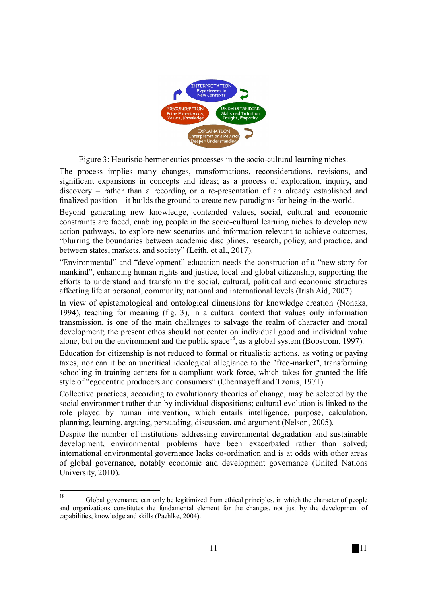

Figure 3: Heuristic-hermeneutics processes in the socio-cultural learning niches.

The process implies many changes, transformations, reconsiderations, revisions, and significant expansions in concepts and ideas; as a process of exploration, inquiry, and discovery – rather than a recording or a re-presentation of an already established and finalized position – it builds the ground to create new paradigms for being-in-the-world.

Beyond generating new knowledge, contended values, social, cultural and economic constraints are faced, enabling people in the socio-cultural learning niches to develop new action pathways, to explore new scenarios and information relevant to achieve outcomes, "blurring the boundaries between academic disciplines, research, policy, and practice, and between states, markets, and society" (Leith, et al., 2017).

"Environmental" and "development" education needs the construction of a "new story for mankind", enhancing human rights and justice, local and global citizenship, supporting the efforts to understand and transform the social, cultural, political and economic structures affecting life at personal, community, national and international levels (Irish Aid, 2007).

In view of epistemological and ontological dimensions for knowledge creation (Nonaka, 1994), teaching for meaning (fig. 3), in a cultural context that values only information transmission, is one of the main challenges to salvage the realm of character and moral development; the present ethos should not center on individual good and individual value alone, but on the environment and the public space<sup>18</sup>, as a global system (Boostrom, 1997).

Education for citizenship is not reduced to formal or ritualistic actions, as voting or paying taxes, nor can it be an uncritical ideological allegiance to the "free-market", transforming schooling in training centers for a compliant work force, which takes for granted the life style of "egocentric producers and consumers" (Chermayeff and Tzonis, 1971).

Collective practices, according to evolutionary theories of change, may be selected by the social environment rather than by individual dispositions; cultural evolution is linked to the role played by human intervention, which entails intelligence, purpose, calculation, planning, learning, arguing, persuading, discussion, and argument (Nelson, 2005).

Despite the number of institutions addressing environmental degradation and sustainable development, environmental problems have been exacerbated rather than solved; international environmental governance lacks co-ordination and is at odds with other areas of global governance, notably economic and development governance (United Nations University, 2010).

<sup>18</sup> <sup>18</sup>Global governance can only be legitimized from ethical principles, in which the character of people and organizations constitutes the fundamental element for the changes, not just by the development of capabilities, knowledge and skills (Paehlke, 2004).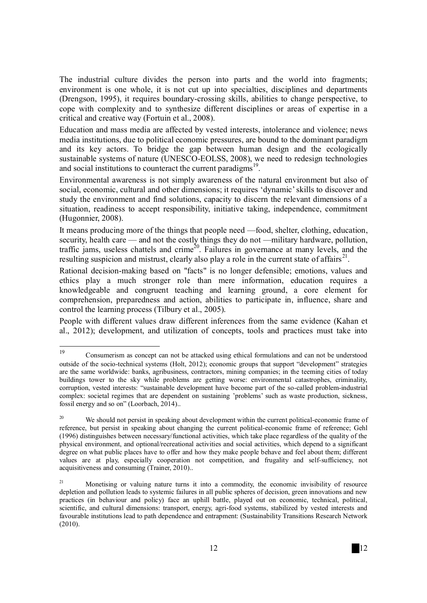The industrial culture divides the person into parts and the world into fragments; environment is one whole, it is not cut up into specialties, disciplines and departments (Drengson, 1995), it requires boundary-crossing skills, abilities to change perspective, to cope with complexity and to synthesize different disciplines or areas of expertise in a critical and creative way (Fortuin et al., 2008).

Education and mass media are affected by vested interests, intolerance and violence; news media institutions, due to political economic pressures, are bound to the dominant paradigm and its key actors. To bridge the gap between human design and the ecologically sustainable systems of nature (UNESCO-EOLSS, 2008), we need to redesign technologies and social institutions to counteract the current paradigms<sup>19</sup>.

Environmental awareness is not simply awareness of the natural environment but also of social, economic, cultural and other dimensions; it requires 'dynamic' skills to discover and study the environment and find solutions, capacity to discern the relevant dimensions of a situation, readiness to accept responsibility, initiative taking, independence, commitment (Hugonnier, 2008).

It means producing more of the things that people need —food, shelter, clothing, education, security, health care — and not the costly things they do not —military hardware, pollution, traffic jams, useless chattels and crime<sup>20</sup>. Failures in governance at many levels, and the resulting suspicion and mistrust, clearly also play a role in the current state of affairs<sup>21</sup>.

Rational decision-making based on "facts" is no longer defensible; emotions, values and ethics play a much stronger role than mere information, education requires a knowledgeable and congruent teaching and learning ground, a core element for comprehension, preparedness and action, abilities to participate in, influence, share and control the learning process (Tilbury et al., 2005).

People with different values draw different inferences from the same evidence (Kahan et al., 2012); development, and utilization of concepts, tools and practices must take into

<sup>19</sup> <sup>19</sup>Consumerism as concept can not be attacked using ethical formulations and can not be understood outside of the socio-technical systems (Holt, 2012); economic groups that support "development" strategies are the same worldwide: banks, agribusiness, contractors, mining companies; in the teeming cities of today buildings tower to the sky while problems are getting worse: environmental catastrophes, criminality, corruption, vested interests: "sustainable development have become part of the so-called problem-industrial complex: societal regimes that are dependent on sustaining 'problems' such as waste production, sickness, fossil energy and so on" (Loorbach, 2014)..

We should not persist in speaking about development within the current political-economic frame of reference, but persist in speaking about changing the current political-economic frame of reference; Gehl (1996) distinguishes between necessary/functional activities, which take place regardless of the quality of the physical environment, and optional/recreational activities and social activities, which depend to a significant degree on what public places have to offer and how they make people behave and feel about them; different values are at play, especially cooperation not competition, and frugality and self-sufficiency, not acquisitiveness and consuming (Trainer, 2010)..

<sup>21</sup>Monetising or valuing nature turns it into a commodity, the economic invisibility of resource depletion and pollution leads to systemic failures in all public spheres of decision, green innovations and new practices (in behaviour and policy) face an uphill battle, played out on economic, technical, political, scientific, and cultural dimensions: transport, energy, agri-food systems, stabilized by vested interests and favourable institutions lead to path dependence and entrapment: (Sustainability Transitions Research Network (2010).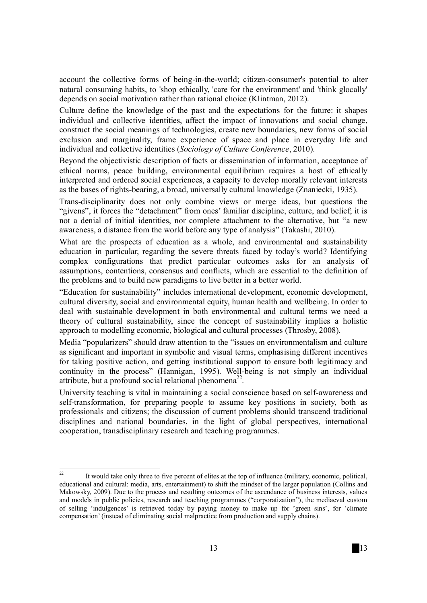account the collective forms of being-in-the-world; citizen-consumer's potential to alter natural consuming habits, to 'shop ethically, 'care for the environment' and 'think glocally' depends on social motivation rather than rational choice (Klintman, 2012).

Culture define the knowledge of the past and the expectations for the future: it shapes individual and collective identities, affect the impact of innovations and social change, construct the social meanings of technologies, create new boundaries, new forms of social exclusion and marginality, frame experience of space and place in everyday life and individual and collective identities (*Sociology of Culture Conference*, 2010).

Beyond the objectivistic description of facts or dissemination of information, acceptance of ethical norms, peace building, environmental equilibrium requires a host of ethically interpreted and ordered social experiences, a capacity to develop morally relevant interests as the bases of rights-bearing, a broad, universally cultural knowledge (Znaniecki, 1935).

Trans-disciplinarity does not only combine views or merge ideas, but questions the "givens", it forces the "detachment" from ones' familiar discipline, culture, and belief; it is not a denial of initial identities, nor complete attachment to the alternative, but "a new awareness, a distance from the world before any type of analysis" (Takashi, 2010).

What are the prospects of education as a whole, and environmental and sustainability education in particular, regarding the severe threats faced by today's world? Identifying complex configurations that predict particular outcomes asks for an analysis of assumptions, contentions, consensus and conflicts, which are essential to the definition of the problems and to build new paradigms to live better in a better world.

"Education for sustainability" includes international development, economic development, cultural diversity, social and environmental equity, human health and wellbeing. In order to deal with sustainable development in both environmental and cultural terms we need a theory of cultural sustainability, since the concept of sustainability implies a holistic approach to modelling economic, biological and cultural processes (Throsby, 2008).

Media "popularizers" should draw attention to the "issues on environmentalism and culture as significant and important in symbolic and visual terms, emphasising different incentives for taking positive action, and getting institutional support to ensure both legitimacy and continuity in the process" (Hannigan, 1995). Well-being is not simply an individual attribute, but a profound social relational phenomena<sup>22</sup>.

University teaching is vital in maintaining a social conscience based on self-awareness and self-transformation, for preparing people to assume key positions in society, both as professionals and citizens; the discussion of current problems should transcend traditional disciplines and national boundaries, in the light of global perspectives, international cooperation, transdisciplinary research and teaching programmes.

 $\overline{\mathcal{D}}$ <sup>22</sup>It would take only three to five percent of elites at the top of influence (military, economic, political, educational and cultural: media, arts, entertainment) to shift the mindset of the larger population (Collins and Makowsky, 2009). Due to the process and resulting outcomes of the ascendance of business interests, values and models in public policies, research and teaching programmes ("corporatization"), the mediaeval custom of selling 'indulgences' is retrieved today by paying money to make up for 'green sins', for 'climate compensation' (instead of eliminating social malpractice from production and supply chains).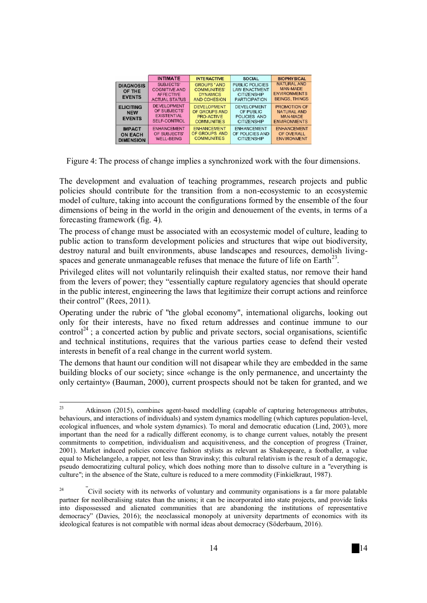|                                                     | <b>INTIMATE</b>                                                               | <b>INTERACTIVE</b>                                                           | <b>SOCIAL</b>                                                                                | <b>BIOPHYSICAL</b>                                                                    |
|-----------------------------------------------------|-------------------------------------------------------------------------------|------------------------------------------------------------------------------|----------------------------------------------------------------------------------------------|---------------------------------------------------------------------------------------|
| <b>DIAGNOSIS</b><br>OF THE<br><b>EVENTS</b>         | SUBJECTS'<br><b>COGNITIVE AND</b><br><b>AFFECTIVE</b><br><b>ACTUAL STATUS</b> | <b>GROUPS 'AND</b><br><b>COMMUNITIES'</b><br><b>DYNAMICS</b><br>AND COHESION | <b>PUBLIC POLICIES</b><br><b>LAW ENACTMENT</b><br><b>CITIZENSHIP</b><br><b>PARTICIPATION</b> | <b>NATURAL AND</b><br><b>MAN-MADE</b><br><b>ENVIRONMENTS</b><br><b>BEINGS, THINGS</b> |
| <b>ELICITING</b><br><b>NEW</b><br><b>EVENTS</b>     | <b>DEVELOPMENT</b><br>OF SUBJECTS'<br><b>EXISTENTIAL</b><br>SELF-CONTROL      | <b>DEVELOPMENT</b><br>OF GROUPS AND<br>PRO-ACTIVE<br><b>COMMUNITIES</b>      | <b>DEVELOPMENT</b><br>OF PUBLIC<br>POLICIES AND<br><b>CITIZENSHIP</b>                        | <b>PROMOTION OF</b><br><b>NATURAL AND</b><br><b>MAN-MADE</b><br><b>ENVIRONMENTS</b>   |
| <b>IMPACT</b><br><b>ON EACH</b><br><b>DIMENSION</b> | <b>ENHANCEMENT</b><br>OF SUBJECTS'<br><b>WELL-BEING</b>                       | <b>ENHANCEMENT</b><br>OF GROUPS AND<br><b>COMMUNITIES</b>                    | <b>ENHANCEMENT</b><br>OF POLICIES AND<br><b>CITIZENSHIP</b>                                  | <b>ENHANCEMENT</b><br>OF OVERALL<br><b>ENVIRONMENT</b>                                |

Figure 4: The process of change implies a synchronized work with the four dimensions.

The development and evaluation of teaching programmes, research projects and public policies should contribute for the transition from a non-ecosystemic to an ecosystemic model of culture, taking into account the configurations formed by the ensemble of the four dimensions of being in the world in the origin and denouement of the events, in terms of a forecasting framework (fig. 4).

The process of change must be associated with an ecosystemic model of culture, leading to public action to transform development policies and structures that wipe out biodiversity, destroy natural and built environments, abuse landscapes and resources, demolish livingspaces and generate unmanageable refuses that menace the future of life on Earth $^{23}$ .

Privileged elites will not voluntarily relinquish their exalted status, nor remove their hand from the levers of power; they "essentially capture regulatory agencies that should operate in the public interest, engineering the laws that legitimize their corrupt actions and reinforce their control" (Rees, 2011).

Operating under the rubric of "the global economy", international oligarchs, looking out only for their interests, have no fixed return addresses and continue immune to our control<sup>24</sup> : a concerted action by public and private sectors, social organisations, scientific and technical institutions, requires that the various parties cease to defend their vested interests in benefit of a real change in the current world system.

The demons that haunt our condition will not disapear while they are embedded in the same building blocks of our society; since «change is the only permanence, and uncertainty the only certainty» (Bauman, 2000), current prospects should not be taken for granted, and we

<sup>23</sup> Atkinson (2015), combines agent-based modelling (capable of capturing heterogeneous attributes, behaviours, and interactions of individuals) and system dynamics modelling (which captures population-level, ecological influences, and whole system dynamics). To moral and democratic education (Lind, 2003), more important than the need for a radically different economy, is to change current values, notably the present commitments to competition, individualism and acquisitiveness, and the conception of progress (Trainer, 2001). Market induced policies conceive fashion stylists as relevant as Shakespeare, a footballer, a value equal to Michelangelo, a rapper, not less than Stravinsky; this cultural relativism is the result of a demagogic, pseudo democratizing cultural policy, which does nothing more than to dissolve culture in a "everything is culture"; in the absence of the State, culture is reduced to a mere commodity (Finkielkraut, 1987).

 $\alpha$ <sup>24</sup>  $\alpha$  Civil society with its networks of voluntary and community organisations is a far more palatable partner for neoliberalising states than the unions; it can be incorporated into state projects, and provide links into dispossessed and alienated communities that are abandoning the institutions of representative democracy" (Davies, 2016); the neoclassical monopoly at university departments of economics with its ideological features is not compatible with normal ideas about democracy (Söderbaum, 2016).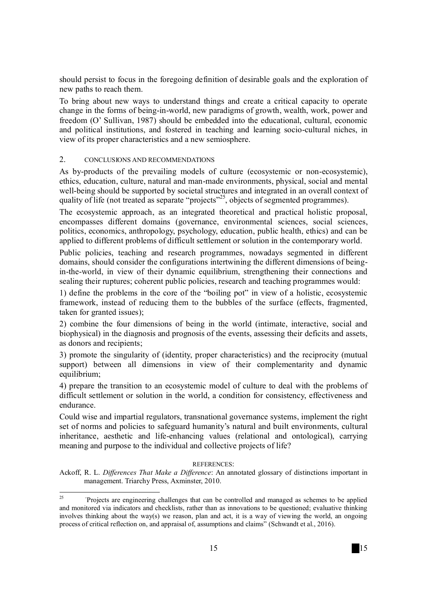should persist to focus in the foregoing definition of desirable goals and the exploration of new paths to reach them.

To bring about new ways to understand things and create a critical capacity to operate change in the forms of being-in-world, new paradigms of growth, wealth, work, power and freedom (O' Sullivan, 1987) should be embedded into the educational, cultural, economic and political institutions, and fostered in teaching and learning socio-cultural niches, in view of its proper characteristics and a new semiosphere.

### 2. CONCLUSIONS AND RECOMMENDATIONS

As by-products of the prevailing models of culture (ecosystemic or non-ecosystemic), ethics, education, culture, natural and man-made environments, physical, social and mental well-being should be supported by societal structures and integrated in an overall context of quality of life (not treated as separate "projects"<sup>25</sup>, objects of segmented programmes).

The ecosystemic approach, as an integrated theoretical and practical holistic proposal, encompasses different domains (governance, environmental sciences, social sciences, politics, economics, anthropology, psychology, education, public health, ethics) and can be applied to different problems of difficult settlement or solution in the contemporary world.

Public policies, teaching and research programmes, nowadays segmented in different domains, should consider the configurations intertwining the different dimensions of beingin-the-world, in view of their dynamic equilibrium, strengthening their connections and sealing their ruptures; coherent public policies, research and teaching programmes would:

1) define the problems in the core of the "boiling pot" in view of a holistic, ecosystemic framework, instead of reducing them to the bubbles of the surface (effects, fragmented, taken for granted issues);

2) combine the four dimensions of being in the world (intimate, interactive, social and biophysical) in the diagnosis and prognosis of the events, assessing their deficits and assets, as donors and recipients;

3) promote the singularity of (identity, proper characteristics) and the reciprocity (mutual support) between all dimensions in view of their complementarity and dynamic equilibrium;

4) prepare the transition to an ecosystemic model of culture to deal with the problems of difficult settlement or solution in the world, a condition for consistency, effectiveness and endurance.

Could wise and impartial regulators, transnational governance systems, implement the right set of norms and policies to safeguard humanity's natural and built environments, cultural inheritance, aesthetic and life-enhancing values (relational and ontological), carrying meaning and purpose to the individual and collective projects of life?

#### REFERENCES:

Ackoff, R. L. *Differences That Make a Difference*: An annotated glossary of distinctions important in management. Triarchy Press, Axminster, 2010.

<sup>25</sup> <sup>25</sup> "Projects are engineering challenges that can be controlled and managed as schemes to be applied and monitored via indicators and checklists, rather than as innovations to be questioned; evaluative thinking involves thinking about the way(s) we reason, plan and act, it is a way of viewing the world, an ongoing process of critical reflection on, and appraisal of, assumptions and claims" (Schwandt et al., 2016).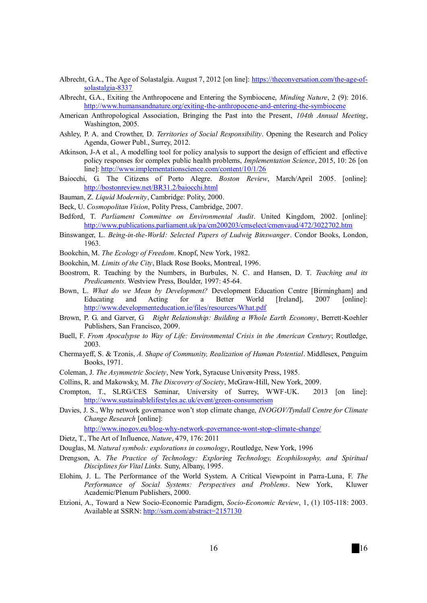- Albrecht, G.A., The Age of Solastalgia. August 7, 2012 [on line]: https://theconversation.com/the-age-ofsolastalgia-8337
- Albrecht, G.A., Exiting the Anthropocene and Entering the Symbiocene, *Minding Nature*, 2 (9): 2016. http://www.humansandnature.org/exiting-the-anthropocene-and-entering-the-symbiocene
- American Anthropological Association, Bringing the Past into the Present, *104th Annual Meeting*, Washington, 2005.
- Ashley, P. A. and Crowther, D. *Territories of Social Responsibility*. Opening the Research and Policy Agenda, Gower Publ., Surrey, 2012.
- Atkinson, J-A et al., A modelling tool for policy analysis to support the design of efficient and effective policy responses for complex public health problems, *Implementation Science*, 2015, 10: 26 [on line]: http://www.implementationscience.com/content/10/1/26
- Baiocchi, G. The Citizens of Porto Alegre. *Boston Review*, March/April 2005. [online]: http://bostonreview.net/BR31.2/baiocchi.html
- Bauman, Z. *Liquid Modernity*, Cambridge: Polity, 2000.
- Beck, U. *Cosmopolitan Vision*, Polity Press, Cambridge, 2007.
- Bedford, T. *Parliament Committee on Environmental Audit*. United Kingdom, 2002. [online]: http://www.publications.parliament.uk/pa/cm200203/cmselect/cmenvaud/472/3022702.htm
- Binswanger, L. *Being-in-the-World: Selected Papers of Ludwig Binswanger*. Condor Books, London, 1963.
- Bookchin, M. *The Ecology of Freedom*. Knopf, New York, 1982.
- Bookchin, M. *Limits of the City*, Black Rose Books, Montreal, 1996.
- Boostrom, R. Teaching by the Numbers, in Burbules, N. C. and Hansen, D. T. *Teaching and its Predicaments*. Westview Press, Boulder, 1997: 45-64.
- Bown, L. *What do we Mean by Development?* Development Education Centre [Birmingham] and Educating and Acting for a Better World [Ireland], 2007 [online]: http://www.developmenteducation.ie/files/resources/What.pdf
- Brown, P. G. and Garver, G *Right Relationship: Building a Whole Earth Economy*, Berrett-Koehler Publishers, San Francisco, 2009.
- Buell, F. *From Apocalypse to Way of Life: Environmental Crisis in the American Century*; Routledge, 2003.
- Chermayeff, S. & Tzonis, *A. Shape of Community, Realization of Human Potential*. Middlesex, Penguim Books, 1971.
- Coleman, J. *The Asymmetric Society*, New York, Syracuse University Press, 1985.
- Collins, R. and Makowsky, M. *The Discovery of Society*, McGraw-Hill, New York, 2009.
- Crompton, T., SLRG/CES Seminar, University of Surrey, WWF-UK. 2013 [on line]: http://www.sustainablelifestyles.ac.uk/event/green-consumerism
- Davies, J. S., Why network governance won't stop climate change, *INOGOV/Tyndall Centre for Climate Change Research* [online]:

http://www.inogov.eu/blog-why-network-governance-wont-stop-climate-change/

- Dietz, T., The Art of Influence, *Nature*, 479, 176: 2011
- Douglas, M. *Natural symbols: explorations in cosmology*, Routledge, New York, 1996
- Drengson, A. *The Practice of Technology: Exploring Technology, Ecophilosophy, and Spiritual Disciplines for Vital Links.* Suny, Albany, 1995.
- Elohim, J. L. The Performance of the World System. A Critical Viewpoint in Parra-Luna, F. *The Performance of Social Systems: Perspectives and Problems*. New York, Kluwer Academic/Plenum Publishers, 2000.
- Etzioni, A., Toward a New Socio-Economic Paradigm, *Socio-Economic Review*, 1, (1) 105-118: 2003. Available at SSRN: http://ssrn.com/abstract=2157130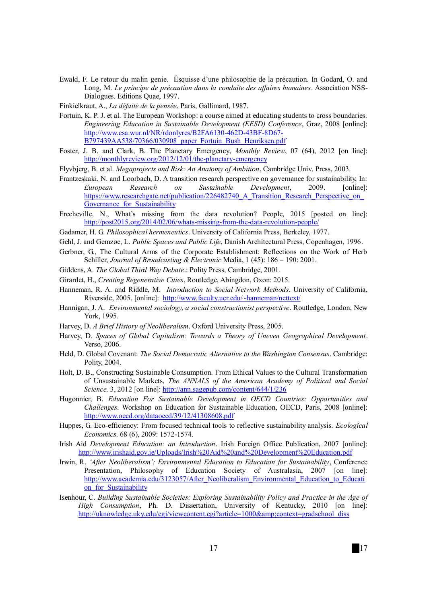- Ewald, F. Le retour du malin genie. Ésquisse d'une philosophie de la précaution. In Godard, O. and Long, M. *Le principe de précaution dans la conduite des affaires humaines*. Association NSS-Dialogues. Editions Quae, 1997.
- Finkielkraut, A., *La défaite de la pensée*, Paris, Gallimard, 1987.
- Fortuin, K. P. J. et al. The European Workshop: a course aimed at educating students to cross boundaries. *Engineering Education in Sustainable Development (EESD) Conference*, Graz, 2008 [online]: http://www.esa.wur.nl/NR/rdonlyres/B2FA6130-462D-43BF-8D67- B797439AA538/70366/030908\_paper\_Fortuin\_Bush\_Henriksen.pdf
- Foster, J. B. and Clark, B. The Planetary Emergency, *Monthly Review*, 07 (64), 2012 [on line]: http://monthlyreview.org/2012/12/01/the-planetary-emergency
- Flyvbjerg, B. et al. *Megaprojects and Risk: An Anatomy of Ambition*, Cambridge Univ. Press, 2003.
- Frantzeskaki, N. and Loorbach, D. A transition research perspective on governance for sustainability, In: *European Research on Sustainable Development*, 2009. [online]: https://www.researchgate.net/publication/226482740\_A\_Transition\_Research\_Perspective\_on\_ Governance for Sustainability
- Frecheville, N., What's missing from the data revolution? People, 2015 [posted on line]: http://post2015.org/2014/02/06/whats-missing-from-the-data-revolution-people/
- Gadamer, H. G. *Philosophical hermeneutics*. University of California Press, Berkeley, 1977.
- Gehl, J. and Gemzøe, L. *Public Spaces and Public Life*, Danish Architectural Press, Copenhagen, 1996.
- Gerbner, G., The Cultural Arms of the Corporate Establishment: Reflections on the Work of Herb Schiller, *Journal of Broadcasting & Electronic* Media, 1 (45): 186 – 190: 2001.
- Giddens, A. *The Global Third Way Debate*.: Polity Press, Cambridge, 2001.
- Girardet, H., *Creating Regenerative Cities*, Routledge, Abingdon, Oxon: 2015.
- Hanneman, R. A. and Riddle, M. *Introduction to Social Network Methods*. University of California, Riverside, 2005. [online]: http://www.faculty.ucr.edu/~hanneman/nettext/
- Hannigan, J. A. *Environmental sociology, a social constructionist perspective*. Routledge, London, New York, 1995.
- Harvey, D. *A Brief History of Neoliberalism*. Oxford University Press, 2005.
- Harvey, D. *Spaces of Global Capitalism: Towards a Theory of Uneven Geographical Development*. Verso, 2006.
- Held, D. Global Covenant: *The Social Democratic Alternative to the Washington Consensus*. Cambridge: Polity, 2004.
- Holt, D. B., Constructing Sustainable Consumption. From Ethical Values to the Cultural Transformation of Unsustainable Markets, *The ANNALS of the American Academy of Political and Social Science,* 3, 2012 [on line]: http://ann.sagepub.com/content/644/1/236
- Hugonnier, B. *Education For Sustainable Development in OECD Countries: Opportunities and Challenges*. Workshop on Education for Sustainable Education, OECD, Paris, 2008 [online]: http://www.oecd.org/dataoecd/39/12/41308608.pdf
- Huppes, G. Eco-efficiency: From focused technical tools to reflective sustainability analysis. *Ecological Economics,* 68 (6), 2009: 1572-1574.
- Irish Aid *Development Education: an Introduction*. Irish Foreign Office Publication, 2007 [online]: http://www.irishaid.gov.ie/Uploads/Irish%20Aid%20and%20Development%20Education.pdf
- Irwin, R. *'After Neoliberalism': Environmental Education to Education for Sustainability*, Conference Presentation, Philosophy of Education Society of Australasia, 2007 [on line]: http://www.academia.edu/3123057/After\_Neoliberalism\_Environmental\_Education\_to\_Educati on for Sustainability
- Isenhour, C. *Building Sustainable Societies: Exploring Sustainability Policy and Practice in the Age of High Consumption*, Ph. D. Dissertation, University of Kentucky, 2010 [on line]: http://uknowledge.uky.edu/cgi/viewcontent.cgi?article=1000&context=gradschool\_diss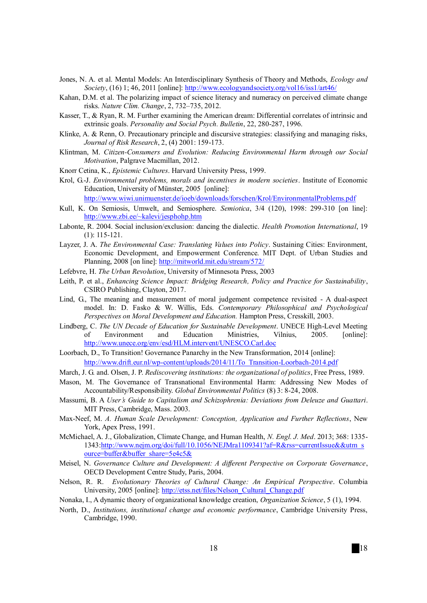- Jones, N. A. et al. Mental Models: An Interdisciplinary Synthesis of Theory and Methods, *Ecology and Society*, (16) 1; 46, 2011 [online]: http://www.ecologyandsociety.org/vol16/iss1/art46/
- Kahan, D.M. et al. The polarizing impact of science literacy and numeracy on perceived climate change risks. *Nature Clim. Change*, 2, 732–735, 2012.
- Kasser, T., & Ryan, R. M. Further examining the American dream: Differential correlates of intrinsic and extrinsic goals. *Personality and Social Psych. Bulletin*, 22, 280-287, 1996.
- Klinke, A. & Renn, O. Precautionary principle and discursive strategies: classifying and managing risks, *Journal of Risk Research*, 2, (4) 2001: 159-173.
- Klintman, M. *Citizen-Consumers and Evolution: Reducing Environmental Harm through our Social Motivation*, Palgrave Macmillan, 2012.
- Knorr Cetina, K., *Epistemic Cultures*. Harvard University Press, 1999.
- Krol, G.-J. *Environmental problems, morals and incentives in modern societies*. Institute of Economic Education, University of Münster, 2005 [online]:

http://www.wiwi.unimuenster.de/ioeb/downloads/forschen/Krol/EnvironmentalProblems.pdf

- Kull, K. On Semiosis, Umwelt, and Semiosphere. *Semiotica*, 3/4 (120), 1998: 299-310 [on line]: http://www.zbi.ee/~kalevi/jesphohp.htm
- Labonte, R. 2004. Social inclusion/exclusion: dancing the dialectic. *Health Promotion International*, 19 (1): 115-121.
- Layzer, J. A. *The Environmental Case: Translating Values into Policy*. Sustaining Cities: Environment, Economic Development, and Empowerment Conference. MIT Dept. of Urban Studies and Planning, 2008 [on line]: http://mitworld.mit.edu/stream/572/
- Lefebvre, H. *The Urban Revolution*, University of Minnesota Press, 2003
- Leith, P. et al., *Enhancing Science Impact: Bridging Research, Policy and Practice for Sustainability*, CSIRO Publishing, Clayton, 2017.
- Lind, G., The meaning and measurement of moral judgement competence revisited A dual-aspect model. In: D. Fasko & W. Willis, Eds. *Contemporary Philosophical and Psychological Perspectives on Moral Development and Education.* Hampton Press, Cresskill, 2003.
- Lindberg, C. *The UN Decade of Education for Sustainable Development*. UNECE High-Level Meeting of Environment and Education Ministries, Vilnius, 2005. [online]: http://www.unece.org/env/esd/HLM.intervent/UNESCO.Carl.doc
- Loorbach, D., To Transition! Governance Panarchy in the New Transformation, 2014 [online]: http://www.drift.eur.nl/wp-content/uploads/2014/11/To\_Transition-Loorbach-2014.pdf
- March, J. G. and. Olsen, J. P. *Rediscovering institutions: the organizational of politics*, Free Press, 1989.
- Mason, M. The Governance of Transnational Environmental Harm: Addressing New Modes of Accountability/Responsibility. *Global Environmental Politics* (8) 3: 8-24, 2008.
- Massumi, B. A *User's Guide to Capitalism and Schizophrenia: Deviations from Deleuze and Guattari*. MIT Press, Cambridge, Mass. 2003.
- Max-Neef, M. *A. Human Scale Development: Conception, Application and Further Reflections*, New York, Apex Press, 1991.
- McMichael, A. J., Globalization, Climate Change, and Human Health, *N. Engl. J. Med*. 2013; 368: 1335- 1343:http://www.nejm.org/doi/full/10.1056/NEJMra1109341?af=R&rss=currentIssue&&utm\_s ource=buffer&buffer\_share=5e4c5&
- Meisel, N. *Governance Culture and Development: A different Perspective on Corporate Governance*, OECD Development Centre Study, Paris, 2004.
- Nelson, R. R. *Evolutionary Theories of Cultural Change: An Empirical Perspective*. Columbia University, 2005 [online]: http://etss.net/files/Nelson\_Cultural\_Change.pdf
- Nonaka, I., A dynamic theory of organizational knowledge creation, *Organization Science*, 5 (1), 1994.
- North, D., *Institutions, institutional change and economic performance*, Cambridge University Press, Cambridge, 1990.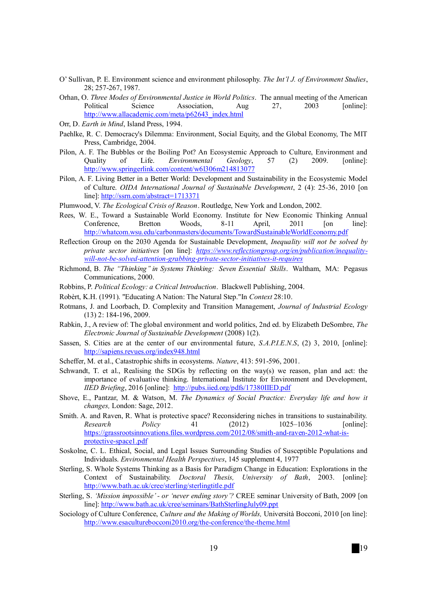- O' Sullivan, P. E. Environment science and environment philosophy. *The Int'l J. of Environment Studies*, 28; 257-267, 1987.
- Orhan, O. *Three Modes of Environmental Justice in World Politics*. The annual meeting of the American Political Science Association, Aug 27, 2003 [online]: http://www.allacademic.com/meta/p62643\_index.html
- Orr, D. *Earth in Mind*, Island Press, 1994.
- Paehlke, R. C. Democracy's Dilemma: Environment, Social Equity, and the Global Economy, The MIT Press, Cambridge, 2004.
- Pilon, A. F. The Bubbles or the Boiling Pot? An Ecosystemic Approach to Culture, Environment and Quality of Life. *Environmental Geology*, 57 (2) 2009. [online]: http://www.springerlink.com/content/w6l306m214813077
- Pilon, A. F. Living Better in a Better World: Development and Sustainability in the Ecosystemic Model of Culture. *OIDA International Journal of Sustainable Development*, 2 (4): 25-36, 2010 [on line]: http://ssrn.com/abstract=1713371
- Plumwood, V. *The Ecological Crisis of Reason*. Routledge, New York and London, 2002.
- Rees, W. E., Toward a Sustainable World Economy. Institute for New Economic Thinking Annual<br>Conference, Bretton Woods, 8-11 April, 2011 [on line]: Conference, Bretton Woods, 8-11 April, 2011 [on line]: http://whatcom.wsu.edu/carbonmasters/documents/TowardSustainableWorldEconomy.pdf
- Reflection Group on the 2030 Agenda for Sustainable Development, *Inequality will not be solved by private sector initiatives* [on line]: *https://www.reflectiongroup.org/en/publication/inequalitywill-not-be-solved-attention-grabbing-private-sector-initiatives-it-requires*
- Richmond, B. *The ''Thinking'' in Systems Thinking: Seven Essential Skills*. Waltham, MA: Pegasus Communications, 2000.
- Robbins, P. *Political Ecology: a Critical Introduction*. Blackwell Publishing, 2004.
- Robèrt, K.H. (1991). "Educating A Nation: The Natural Step."In *Context* 28:10.
- Rotmans, J. and Loorbach, D. Complexity and Transition Management, *Journal of Industrial Ecology* (13) 2: 184-196, 2009.
- Rabkin, J., A review of: The global environment and world politics, 2nd ed. by Elizabeth DeSombre, *The Electronic Journal of Sustainable Development* (2008) 1(2).
- Sassen, S. Cities are at the center of our environmental future, *S.A.P.I.E.N.S*, (2) 3, 2010, [online]: http://sapiens.revues.org/index948.html
- Scheffer, M. et al., Catastrophic shifts in ecosystems. *Nature*, 413: 591-596, 2001.
- Schwandt, T. et al., Realising the SDGs by reflecting on the way(s) we reason, plan and act: the importance of evaluative thinking. International Institute for Environment and Development, *IIED Briefing*, 2016 [online]: http://pubs.iied.org/pdfs/17380IIED.pdf
- Shove, E., Pantzar, M. & Watson, M. *The Dynamics of Social Practice: Everyday life and how it changes,* London: Sage, 2012.
- Smith. A. and Raven, R. What is protective space? Reconsidering niches in transitions to sustainability. *Research Policy* 41 (2012) 1025–1036 [online]: https://grassrootsinnovations.files.wordpress.com/2012/08/smith-and-raven-2012-what-isprotective-space1.pdf
- Soskolne, C. L. Ethical, Social, and Legal Issues Surrounding Studies of Susceptible Populations and Individuals. *Environmental Health Perspectives*, 145 supplement 4, 1977
- Sterling, S. Whole Systems Thinking as a Basis for Paradigm Change in Education: Explorations in the Context of Sustainability. *Doctoral Thesis, University of Bath*, 2003. [online]: http://www.bath.ac.uk/cree/sterling/sterlingtitle.pdf
- Sterling, S. *'Mission impossible' or 'never ending story'?* CREE seminar University of Bath, 2009 [on line]: http://www.bath.ac.uk/cree/seminars/BathSterlingJuly09.ppt
- Sociology of Culture Conference, *Culture and the Making of Worlds,* Università Bocconi, 2010 [on line]: http://www.esaculturebocconi2010.org/the-conference/the-theme.html